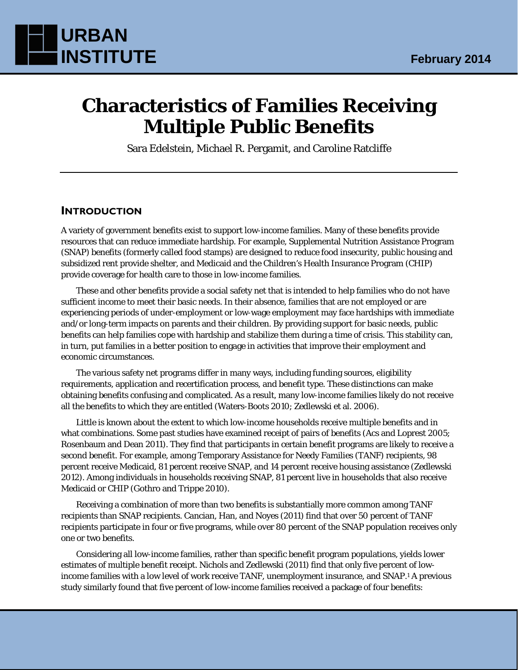

# **Characteristics of Families Receiving Multiple Public Benefits**

Sara Edelstein, Michael R. Pergamit, and Caroline Ratcliffe

### **INTRODUCTION**

A variety of government benefits exist to support low-income families. Many of these benefits provide resources that can reduce immediate hardship. For example, Supplemental Nutrition Assistance Program (SNAP) benefits (formerly called food stamps) are designed to reduce food insecurity, public housing and subsidized rent provide shelter, and Medicaid and the Children's Health Insurance Program (CHIP) provide coverage for health care to those in low-income families.

These and other benefits provide a social safety net that is intended to help families who do not have sufficient income to meet their basic needs. In their absence, families that are not employed or are experiencing periods of under-employment or low-wage employment may face hardships with immediate and/or long-term impacts on parents and their children. By providing support for basic needs, public benefits can help families cope with hardship and stabilize them during a time of crisis. This stability can, in turn, put families in a better position to engage in activities that improve their employment and economic circumstances.

The various safety net programs differ in many ways, including funding sources, eligibility requirements, application and recertification process, and benefit type. These distinctions can make obtaining benefits confusing and complicated. As a result, many low-income families likely do not receive all the benefits to which they are entitled (Waters-Boots 2010; Zedlewski et al. 2006).

Little is known about the extent to which low-income households receive multiple benefits and in what combinations. Some past studies have examined receipt of pairs of benefits (Acs and Loprest 2005; Rosenbaum and Dean 2011). They find that participants in certain benefit programs are likely to receive a second benefit. For example, among Temporary Assistance for Needy Families (TANF) recipients, 98 percent receive Medicaid, 81 percent receive SNAP, and 14 percent receive housing assistance (Zedlewski 2012). Among individuals in households receiving SNAP, 81 percent live in households that also receive Medicaid or CHIP (Gothro and Trippe 2010).

Receiving a combination of more than two benefits is substantially more common among TANF recipients than SNAP recipients. Cancian, Han, and Noyes (2011) find that over 50 percent of TANF recipients participate in four or five programs, while over 80 percent of the SNAP population receives only one or two benefits.

Considering all low-income families, rather than specific benefit program populations, yields lower estimates of multiple benefit receipt. Nichols and Zedlewski (2011) find that only five percent of lowincome families with a low level of work receive TANF, unemployment insurance, and SNAP.1 A previous study similarly found that five percent of low-income families received a package of four benefits: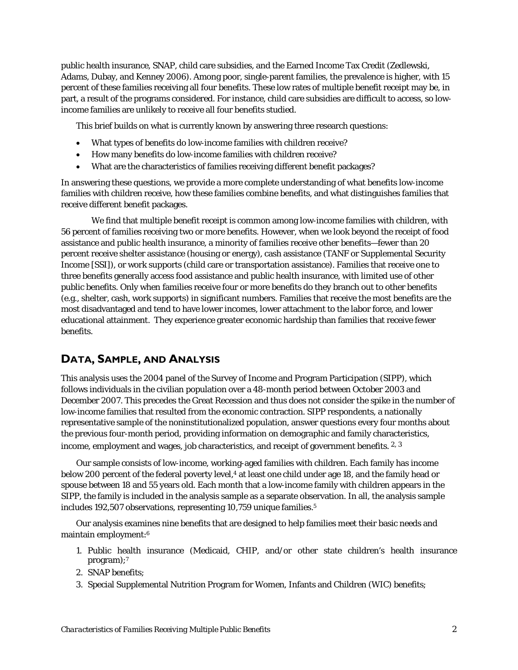public health insurance, SNAP, child care subsidies, and the Earned Income Tax Credit (Zedlewski, Adams, Dubay, and Kenney 2006). Among poor, single-parent families, the prevalence is higher, with 15 percent of these families receiving all four benefits. These low rates of multiple benefit receipt may be, in part, a result of the programs considered. For instance, child care subsidies are difficult to access, so lowincome families are unlikely to receive all four benefits studied.

This brief builds on what is currently known by answering three research questions:

- What types of benefits do low-income families with children receive?
- How many benefits do low-income families with children receive?
- What are the characteristics of families receiving different benefit packages?

In answering these questions, we provide a more complete understanding of what benefits low-income families with children receive, how these families combine benefits, and what distinguishes families that receive different benefit packages.

We find that multiple benefit receipt is common among low-income families with children, with 56 percent of families receiving two or more benefits. However, when we look beyond the receipt of food assistance and public health insurance, a minority of families receive other benefits—fewer than 20 percent receive shelter assistance (housing or energy), cash assistance (TANF or Supplemental Security Income [SSI]), or work supports (child care or transportation assistance). Families that receive one to three benefits generally access food assistance and public health insurance, with limited use of other public benefits. Only when families receive four or more benefits do they branch out to other benefits (e.g., shelter, cash, work supports) in significant numbers. Families that receive the most benefits are the most disadvantaged and tend to have lower incomes, lower attachment to the labor force, and lower educational attainment. They experience greater economic hardship than families that receive fewer benefits.

# **DATA, SAMPLE, AND ANALYSIS**

This analysis uses the 2004 panel of the Survey of Income and Program Participation (SIPP), which follows individuals in the civilian population over a 48-month period between October 2003 and December 2007. This precedes the Great Recession and thus does not consider the spike in the number of low-income families that resulted from the economic contraction. SIPP respondents, a nationally representative sample of the noninstitutionalized population, answer questions every four months about the previous four-month period, providing information on demographic and family characteristics, income, employment and wages, job characteristics, and receipt of government benefits. <sup>2, 3</sup>

Our sample consists of low-income, working-aged families with children. Each family has income below 200 percent of the federal poverty level,<sup>4</sup> at least one child under age 18, and the family head or spouse between 18 and 55 years old. Each month that a low-income family with children appears in the SIPP, the family is included in the analysis sample as a separate observation. In all, the analysis sample includes 192,507 observations, representing 10,759 unique families.<sup>5</sup>

Our analysis examines nine benefits that are designed to help families meet their basic needs and maintain employment:6

- 1. Public health insurance (Medicaid, CHIP, and/or other state children's health insurance program);7
- 2. SNAP benefits;
- 3. Special Supplemental Nutrition Program for Women, Infants and Children (WIC) benefits;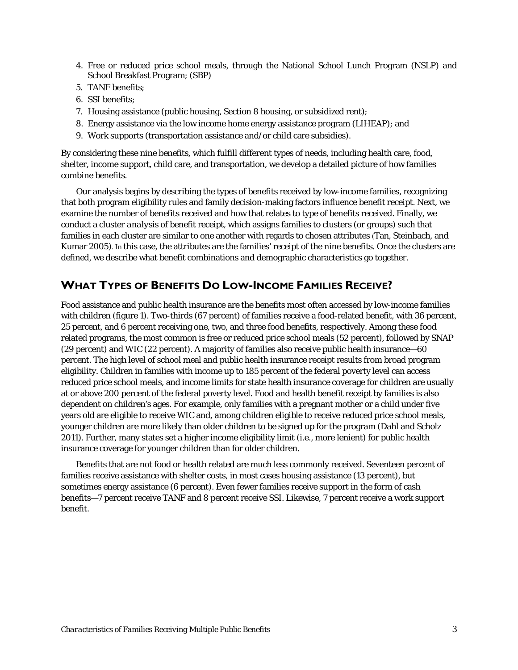- 4. Free or reduced price school meals, through the National School Lunch Program (NSLP) and School Breakfast Program; (SBP)
- 5. TANF benefits;
- 6. SSI benefits;
- 7. Housing assistance (public housing, Section 8 housing, or subsidized rent);
- 8. Energy assistance via the low income home energy assistance program (LIHEAP); and
- 9. Work supports (transportation assistance and/or child care subsidies).

By considering these nine benefits, which fulfill different types of needs, including health care, food, shelter, income support, child care, and transportation, we develop a detailed picture of how families combine benefits.

Our analysis begins by describing the types of benefits received by low-income families, recognizing that both program eligibility rules and family decision-making factors influence benefit receipt. Next, we examine the number of benefits received and how that relates to type of benefits received. Finally, we conduct a *cluster analysis* of benefit receipt, which assigns families to clusters (or groups) such that families in each cluster are similar to one another with regards to chosen attributes (Tan, Steinbach, and Kumar 2005). In this case, the attributes are the families' receipt of the nine benefits. Once the clusters are defined, we describe what benefit combinations and demographic characteristics go together.

# **WHAT TYPES OF BENEFITS DO LOW-INCOME FAMILIES RECEIVE?**

Food assistance and public health insurance are the benefits most often accessed by low-income families with children (figure 1). Two-thirds (67 percent) of families receive a food-related benefit, with 36 percent, 25 percent, and 6 percent receiving one, two, and three food benefits, respectively. Among these food related programs, the most common is free or reduced price school meals (52 percent), followed by SNAP (29 percent) and WIC (22 percent). A majority of families also receive public health insurance—60 percent. The high level of school meal and public health insurance receipt results from broad program eligibility. Children in families with income up to 185 percent of the federal poverty level can access reduced price school meals, and income limits for state health insurance coverage for children are usually at or above 200 percent of the federal poverty level. Food and health benefit receipt by families is also dependent on children's ages. For example, only families with a pregnant mother or a child under five years old are eligible to receive WIC and, among children eligible to receive reduced price school meals, younger children are more likely than older children to be signed up for the program (Dahl and Scholz 2011). Further, many states set a higher income eligibility limit (i.e., more lenient) for public health insurance coverage for younger children than for older children.

Benefits that are not food or health related are much less commonly received. Seventeen percent of families receive assistance with shelter costs, in most cases housing assistance (13 percent), but sometimes energy assistance (6 percent). Even fewer families receive support in the form of cash benefits—7 percent receive TANF and 8 percent receive SSI. Likewise, 7 percent receive a work support benefit.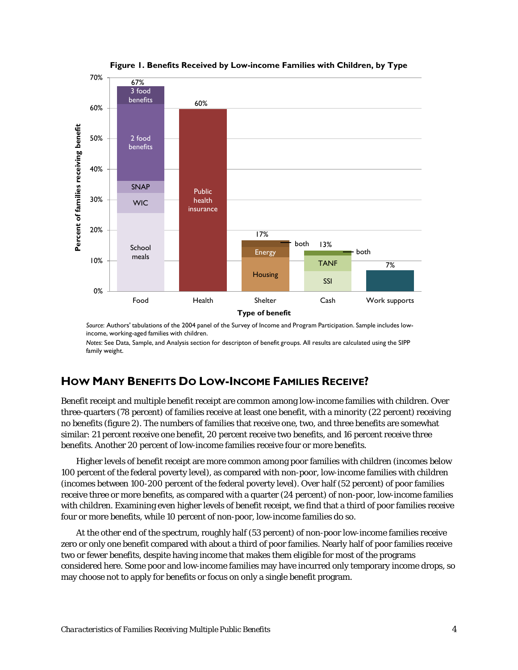

**Figure 1. Benefits Received by Low-income Families with Children, by Type**

*Source*: Authors' tabulations of the 2004 panel of the Survey of Income and Program Participation. Sample includes lowincome, working-aged families with children.

*Notes*: See Data, Sample, and Analysis section for descripton of benefit groups. All results are calculated using the SIPP family weight.

# **HOW MANY BENEFITS DO LOW-INCOME FAMILIES RECEIVE?**

Benefit receipt and multiple benefit receipt are common among low-income families with children. Over three-quarters (78 percent) of families receive at least one benefit, with a minority (22 percent) receiving no benefits (figure 2). The numbers of families that receive one, two, and three benefits are somewhat similar: 21 percent receive one benefit, 20 percent receive two benefits, and 16 percent receive three benefits. Another 20 percent of low-income families receive four or more benefits.

Higher levels of benefit receipt are more common among poor families with children (incomes below 100 percent of the federal poverty level), as compared with non-poor, low-income families with children (incomes between 100-200 percent of the federal poverty level). Over half (52 percent) of poor families receive three or more benefits, as compared with a quarter (24 percent) of non-poor, low-income families with children. Examining even higher levels of benefit receipt, we find that a third of poor families receive four or more benefits, while 10 percent of non-poor, low-income families do so.

At the other end of the spectrum, roughly half (53 percent) of non-poor low-income families receive zero or only one benefit compared with about a third of poor families. Nearly half of poor families receive two or fewer benefits, despite having income that makes them eligible for most of the programs considered here. Some poor and low-income families may have incurred only temporary income drops, so may choose not to apply for benefits or focus on only a single benefit program.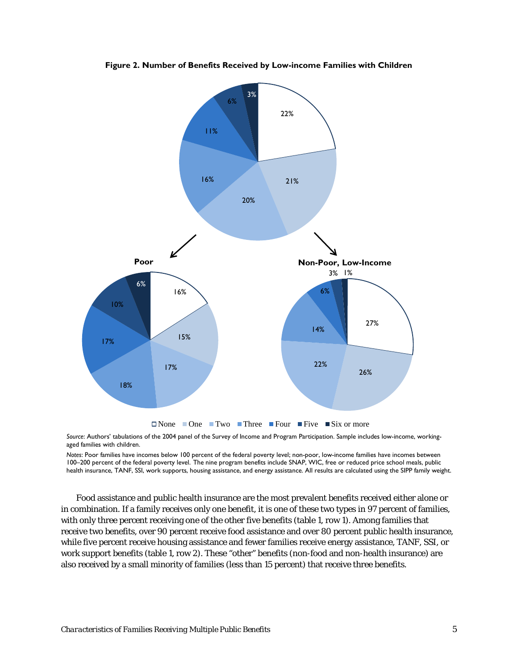

**Figure 2. Number of Benefits Received by Low-income Families with Children**

*Source*: Authors' tabulations of the 2004 panel of the Survey of Income and Program Participation. Sample includes low-income, workingaged families with children.

*Notes*: Poor families have incomes below 100 percent of the federal poverty level; non-poor, low-income families have incomes between 100–200 percent of the federal poverty level. The nine program benefits include SNAP, WIC, free or reduced price school meals, public health insurance, TANF, SSI, work supports, housing assistance, and energy assistance. All results are calculated using the SIPP family weight.

Food assistance and public health insurance are the most prevalent benefits received either alone or in combination. If a family receives only one benefit, it is one of these two types in 97 percent of families, with only three percent receiving one of the other five benefits (table 1, row 1). Among families that receive two benefits, over 90 percent receive food assistance and over 80 percent public health insurance, while five percent receive housing assistance and fewer families receive energy assistance, TANF, SSI, or work support benefits (table 1, row 2). These "other" benefits (non-food and non-health insurance) are also received by a small minority of families (less than 15 percent) that receive three benefits.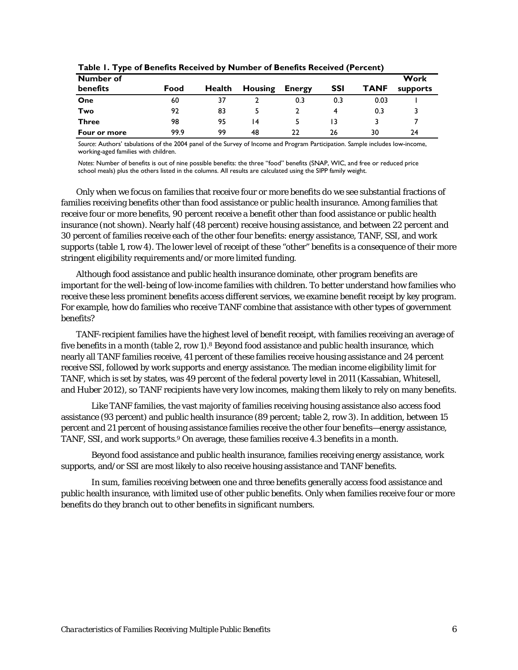| - -<br>Number of |      |        |                |               |     |             | Work     |
|------------------|------|--------|----------------|---------------|-----|-------------|----------|
| benefits         | Food | Health | <b>Housing</b> | <b>Energy</b> | SSI | <b>TANF</b> | supports |
| One              | 60   | 37     |                | 0.3           | 0.3 | 0.03        |          |
| Two              | 92   | 83     |                |               |     | 0.3         |          |
| <b>Three</b>     | 98   | 95     | 14             |               | 13  |             |          |
| Four or more     | 99.9 | 99     | 48             | 22            | 26  | 30          | 24       |

**Table 1. Type of Benefits Received by Number of Benefits Received (Percent)**

*Source*: Authors' tabulations of the 2004 panel of the Survey of Income and Program Participation. Sample includes low-income, working-aged families with children.

*Notes*: Number of benefits is out of nine possible benefits: the three "food" benefits (SNAP, WIC, and free or reduced price school meals) plus the others listed in the columns. All results are calculated using the SIPP family weight.

Only when we focus on families that receive four or more benefits do we see substantial fractions of families receiving benefits other than food assistance or public health insurance. Among families that receive four or more benefits, 90 percent receive a benefit other than food assistance or public health insurance (not shown). Nearly half (48 percent) receive housing assistance, and between 22 percent and 30 percent of families receive each of the other four benefits: energy assistance, TANF, SSI, and work supports (table 1, row 4). The lower level of receipt of these "other" benefits is a consequence of their more stringent eligibility requirements and/or more limited funding.

Although food assistance and public health insurance dominate, other program benefits are important for the well-being of low-income families with children. To better understand how families who receive these less prominent benefits access different services, we examine benefit receipt by key program. For example, how do families who receive TANF combine that assistance with other types of government benefits?

TANF-recipient families have the highest level of benefit receipt, with families receiving an average of five benefits in a month (table 2, row 1).8 Beyond food assistance and public health insurance, which nearly all TANF families receive, 41 percent of these families receive housing assistance and 24 percent receive SSI, followed by work supports and energy assistance. The median income eligibility limit for TANF, which is set by states, was 49 percent of the federal poverty level in 2011 (Kassabian, Whitesell, and Huber 2012), so TANF recipients have very low incomes, making them likely to rely on many benefits.

Like TANF families, the vast majority of families receiving housing assistance also access food assistance (93 percent) and public health insurance (89 percent; table 2, row 3). In addition, between 15 percent and 21 percent of housing assistance families receive the other four benefits—energy assistance, TANF, SSI, and work supports.9 On average, these families receive 4.3 benefits in a month.

Beyond food assistance and public health insurance, families receiving energy assistance, work supports, and/or SSI are most likely to also receive housing assistance and TANF benefits.

In sum, families receiving between one and three benefits generally access food assistance and public health insurance, with limited use of other public benefits. Only when families receive four or more benefits do they branch out to other benefits in significant numbers.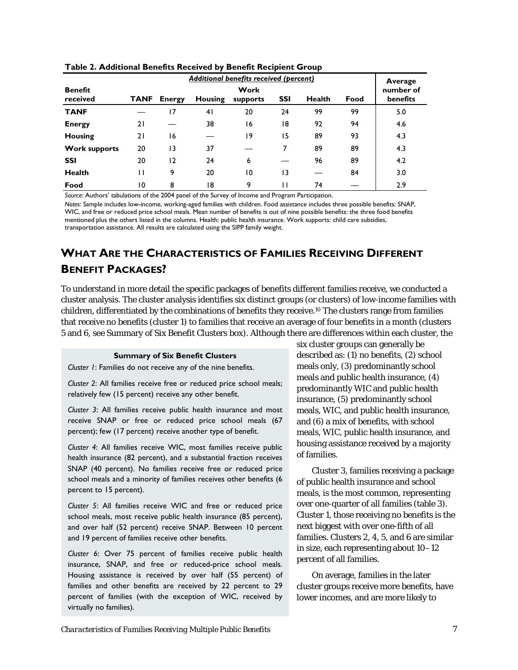|                            | Additional benefits received (percent) |                       |                |          |            |               |      |     |
|----------------------------|----------------------------------------|-----------------------|----------------|----------|------------|---------------|------|-----|
| <b>Benefit</b><br>received |                                        | number of<br>benefits |                |          |            |               |      |     |
|                            | <b>TANF</b>                            | <b>Energy</b>         | <b>Housing</b> | supports | <b>SSI</b> | <b>Health</b> | Food |     |
| <b>TANF</b>                |                                        | 17                    | 4 <sub>1</sub> | 20       | 24         | 99            | 99   | 5.0 |
| <b>Energy</b>              | 21                                     |                       | 38             | 16       | 18         | 92            | 94   | 4.6 |
| <b>Housing</b>             | 21                                     | 16                    |                | 19       | 15         | 89            | 93   | 4.3 |
| <b>Work supports</b>       | 20                                     | 13                    | 37             |          | 7          | 89            | 89   | 4.3 |
| <b>SSI</b>                 | 20                                     | $\overline{2}$        | 24             | 6        |            | 96            | 89   | 4.2 |
| <b>Health</b>              | п                                      | 9                     | 20             | 10       | 13         |               | 84   | 3.0 |
| Food                       | 10                                     | 8                     | 18             | 9        | П          | 74            |      | 2.9 |

**Table 2. Additional Benefits Received by Benefit Recipient Group**

*Source*: Authors' tabulations of the 2004 panel of the Survey of Income and Program Participation.

*Notes*: Sample includes low-income, working-aged families with children. Food assistance includes three possible benefits: SNAP, WIC, and free or reduced price school meals. Mean number of benefits is out of nine possible benefits: the three food benefits mentioned plus the others listed in the columns. Health: public health insurance. Work supports: child care subsidies, transportation assistance. All results are calculated using the SIPP family weight.

# **WHAT ARE THE CHARACTERISTICS OF FAMILIES RECEIVING DIFFERENT BENEFIT PACKAGES?**

To understand in more detail the specific packages of benefits different families receive, we conducted a cluster analysis. The cluster analysis identifies six distinct groups (or clusters) of low-income families with children, differentiated by the combinations of benefits they receive.10 The clusters range from families that receive no benefits (cluster 1) to families that receive an average of four benefits in a month (clusters 5 and 6, see Summary of Six Benefit Clusters box). Although there are differences within each cluster, the

#### **Summary of Six Benefit Clusters**

*Cluster 1*: Families do not receive any of the nine benefits.

*Cluster 2*: All families receive free or reduced price school meals; relatively few (15 percent) receive any other benefit.

*Cluster 3*: All families receive public health insurance and most receive SNAP or free or reduced price school meals (67 percent); few (17 percent) receive another type of benefit.

*Cluster 4*: All families receive WIC, most families receive public health insurance (82 percent), and a substantial fraction receives SNAP (40 percent). No families receive free or reduced price school meals and a minority of families receives other benefits (6 percent to 15 percent).

*Cluster 5*: All families receive WIC and free or reduced price school meals, most receive public health insurance (85 percent), and over half (52 percent) receive SNAP. Between 10 percent and 19 percent of families receive other benefits.

*Cluster 6*: Over 75 percent of families receive public health insurance, SNAP, and free or reduced-price school meals. Housing assistance is received by over half (55 percent) of families and other benefits are received by 22 percent to 29 percent of families (with the exception of WIC, received by virtually no families).

six cluster groups can generally be described as: (1) no benefits, (2) school meals only, (3) predominantly school meals and public health insurance, (4) predominantly WIC and public health insurance, (5) predominantly school meals, WIC, and public health insurance, and (6) a mix of benefits, with school meals, WIC, public health insurance, and housing assistance received by a majority of families.

Cluster 3, families receiving a package of public health insurance and school meals, is the most common, representing over one-quarter of all families (table 3). Cluster 1, those receiving no benefits is the next biggest with over one-fifth of all families. Clusters 2, 4, 5, and 6 are similar in size, each representing about 10–12 percent of all families.

On average, families in the later cluster groups receive more benefits, have lower incomes, and are more likely to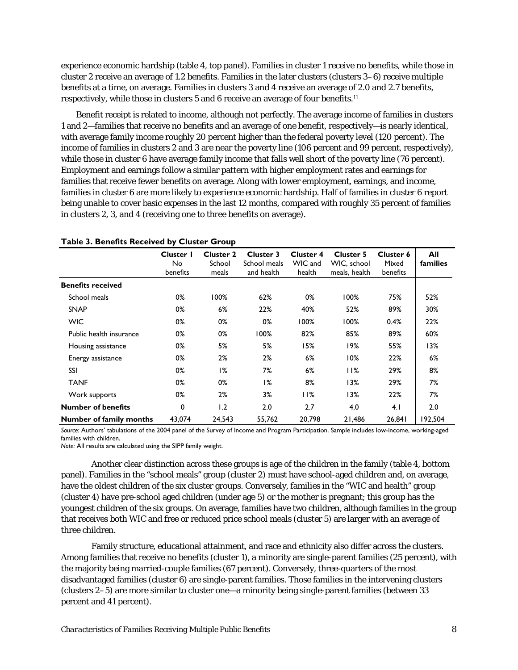experience economic hardship (table 4, top panel). Families in cluster 1 receive no benefits, while those in cluster 2 receive an average of 1.2 benefits. Families in the later clusters (clusters 3–6) receive multiple benefits at a time, on average. Families in clusters 3 and 4 receive an average of 2.0 and 2.7 benefits, respectively, while those in clusters 5 and 6 receive an average of four benefits.11

Benefit receipt is related to income, although not perfectly. The average income of families in clusters 1 and 2—families that receive no benefits and an average of one benefit, respectively—is nearly identical, with average family income roughly 20 percent higher than the federal poverty level (120 percent). The income of families in clusters 2 and 3 are near the poverty line (106 percent and 99 percent, respectively), while those in cluster 6 have average family income that falls well short of the poverty line (76 percent). Employment and earnings follow a similar pattern with higher employment rates and earnings for families that receive fewer benefits on average. Along with lower employment, earnings, and income, families in cluster 6 are more likely to experience economic hardship. Half of families in cluster 6 report being unable to cover basic expenses in the last 12 months, compared with roughly 35 percent of families in clusters 2, 3, and 4 (receiving one to three benefits on average).

|                                | Cluster I<br>No<br>benefits | <b>Cluster 2</b><br>School<br>meals | <b>Cluster 3</b><br>School meals<br>and health | <b>Cluster 4</b><br>WIC and<br>health | Cluster 5<br>WIC, school<br>meals, health | <b>Cluster 6</b><br>Mixed<br>benefits | All<br>families |
|--------------------------------|-----------------------------|-------------------------------------|------------------------------------------------|---------------------------------------|-------------------------------------------|---------------------------------------|-----------------|
| <b>Benefits received</b>       |                             |                                     |                                                |                                       |                                           |                                       |                 |
| School meals                   | 0%                          | 100%                                | 62%                                            | 0%                                    | 100%                                      | 75%                                   | 52%             |
| <b>SNAP</b>                    | 0%                          | 6%                                  | 22%                                            | 40%                                   | 52%                                       | 89%                                   | 30%             |
| <b>WIC</b>                     | 0%                          | 0%                                  | 0%                                             | 100%                                  | 100%                                      | 0.4%                                  | 22%             |
| Public health insurance        | 0%                          | 0%                                  | 100%                                           | 82%                                   | 85%                                       | 89%                                   | 60%             |
| Housing assistance             | 0%                          | 5%                                  | 5%                                             | 15%                                   | 19%                                       | 55%                                   | 13%             |
| Energy assistance              | 0%                          | 2%                                  | 2%                                             | 6%                                    | 10%                                       | 22%                                   | 6%              |
| SSI                            | 0%                          | 1%                                  | 7%                                             | 6%                                    | 11%                                       | 29%                                   | 8%              |
| <b>TANF</b>                    | 0%                          | 0%                                  | 1%                                             | 8%                                    | 13%                                       | 29%                                   | 7%              |
| Work supports                  | 0%                          | 2%                                  | 3%                                             | 11%                                   | 13%                                       | 22%                                   | 7%              |
| <b>Number of benefits</b>      | 0                           | 1.2                                 | 2.0                                            | 2.7                                   | 4.0                                       | 4.1                                   | 2.0             |
| <b>Number of family months</b> | 43,074                      | 24,543                              | 55,762                                         | 20,798                                | 21,486                                    | 26,841                                | 192,504         |

#### **Table 3. Benefits Received by Cluster Group**

*Source:* Authors' tabulations of the 2004 panel of the Survey of Income and Program Participation. Sample includes low-income, working-aged families with children.

*Note:* All results are calculated using the SIPP family weight.

Another clear distinction across these groups is age of the children in the family (table 4, bottom panel). Families in the "school meals" group (cluster 2) must have school-aged children and, on average, have the oldest children of the six cluster groups. Conversely, families in the "WIC and health" group (cluster 4) have pre-school aged children (under age 5) or the mother is pregnant; this group has the youngest children of the six groups. On average, families have two children, although families in the group that receives both WIC and free or reduced price school meals (cluster 5) are larger with an average of three children.

Family structure, educational attainment, and race and ethnicity also differ across the clusters. Among families that receive no benefits (cluster 1), a minority are single-parent families (25 percent), with the majority being married-couple families (67 percent). Conversely, three-quarters of the most disadvantaged families (cluster 6) are single-parent families. Those families in the intervening clusters (clusters 2–5) are more similar to cluster one—a minority being single-parent families (between 33 percent and 41 percent).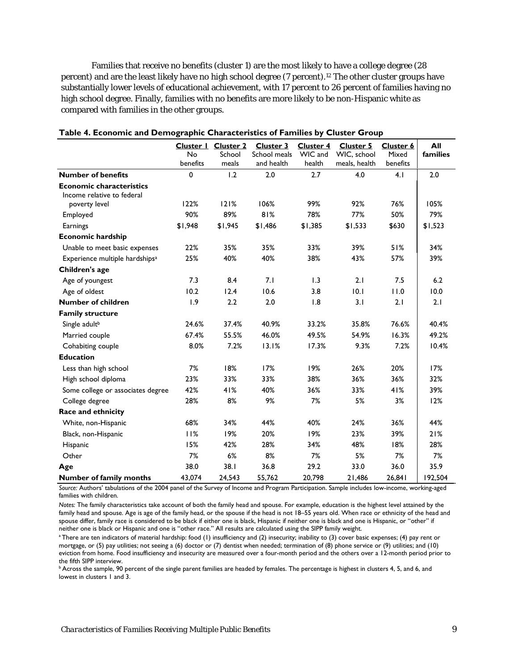Families that receive no benefits (cluster 1) are the most likely to have a college degree (28 percent) and are the least likely have no high school degree (7 percent).12 The other cluster groups have substantially lower levels of educational achievement, with 17 percent to 26 percent of families having no high school degree. Finally, families with no benefits are more likely to be non-Hispanic white as compared with families in the other groups.

|                                                               | No<br>benefits | Cluster I Cluster 2<br>School<br>meals | <b>Cluster 3</b><br>School meals<br>and health | <b>Cluster 4</b><br>WIC and<br>health | <b>Cluster 5</b><br>WIC, school<br>meals, health | Cluster 6<br>Mixed<br>benefits | All<br>families |
|---------------------------------------------------------------|----------------|----------------------------------------|------------------------------------------------|---------------------------------------|--------------------------------------------------|--------------------------------|-----------------|
| <b>Number of benefits</b>                                     | 0              | 1.2                                    | 2.0                                            | 2.7                                   | 4.0                                              | 4.1                            | 2.0             |
| <b>Economic characteristics</b><br>Income relative to federal |                |                                        |                                                |                                       |                                                  |                                |                 |
| poverty level                                                 | 122%           | 121%                                   | 106%                                           | 99%                                   | 92%                                              | 76%                            | 105%            |
| Employed                                                      | 90%            | 89%                                    | 81%                                            | 78%                                   | 77%                                              | 50%                            | 79%             |
| Earnings                                                      | \$1,948        | \$1,945                                | \$1,486                                        | \$1,385                               | \$1,533                                          | \$630                          | \$1,523         |
| <b>Economic hardship</b>                                      |                |                                        |                                                |                                       |                                                  |                                |                 |
| Unable to meet basic expenses                                 | 22%            | 35%                                    | 35%                                            | 33%                                   | 39%                                              | 51%                            | 34%             |
| Experience multiple hardships <sup>a</sup>                    | 25%            | 40%                                    | 40%                                            | 38%                                   | 43%                                              | 57%                            | 39%             |
| Children's age                                                |                |                                        |                                                |                                       |                                                  |                                |                 |
| Age of youngest                                               | 7.3            | 8.4                                    | 7.1                                            | 1.3                                   | 2.1                                              | 7.5                            | 6.2             |
| Age of oldest                                                 | 10.2           | 12.4                                   | 10.6                                           | 3.8                                   | 10.1                                             | 11.0                           | 10.0            |
| <b>Number of children</b>                                     | 1.9            | 2.2                                    | 2.0                                            | 1.8                                   | 3.1                                              | 2.1                            | 2.1             |
| <b>Family structure</b>                                       |                |                                        |                                                |                                       |                                                  |                                |                 |
| Single adult <sup>b</sup>                                     | 24.6%          | 37.4%                                  | 40.9%                                          | 33.2%                                 | 35.8%                                            | 76.6%                          | 40.4%           |
| Married couple                                                | 67.4%          | 55.5%                                  | 46.0%                                          | 49.5%                                 | 54.9%                                            | 16.3%                          | 49.2%           |
| Cohabiting couple                                             | 8.0%           | 7.2%                                   | 13.1%                                          | 17.3%                                 | 9.3%                                             | 7.2%                           | 10.4%           |
| <b>Education</b>                                              |                |                                        |                                                |                                       |                                                  |                                |                 |
| Less than high school                                         | 7%             | 18%                                    | 17%                                            | 19%                                   | 26%                                              | 20%                            | 17%             |
| High school diploma                                           | 23%            | 33%                                    | 33%                                            | 38%                                   | 36%                                              | 36%                            | 32%             |
| Some college or associates degree                             | 42%            | 41%                                    | 40%                                            | 36%                                   | 33%                                              | 41%                            | 39%             |
| College degree                                                | 28%            | 8%                                     | 9%                                             | 7%                                    | 5%                                               | 3%                             | 12%             |
| Race and ethnicity                                            |                |                                        |                                                |                                       |                                                  |                                |                 |
| White, non-Hispanic                                           | 68%            | 34%                                    | 44%                                            | 40%                                   | 24%                                              | 36%                            | 44%             |
| Black, non-Hispanic                                           | 11%            | 19%                                    | 20%                                            | 19%                                   | 23%                                              | 39%                            | 21%             |
| Hispanic                                                      | 15%            | 42%                                    | 28%                                            | 34%                                   | 48%                                              | 18%                            | 28%             |
| Other                                                         | 7%             | 6%                                     | 8%                                             | 7%                                    | 5%                                               | 7%                             | 7%              |
| Age                                                           | 38.0           | 38.1                                   | 36.8                                           | 29.2                                  | 33.0                                             | 36.0                           | 35.9            |
| <b>Number of family months</b>                                | 43,074         | 24,543                                 | 55,762                                         | 20,798                                | 21,486                                           | 26,841                         | 192,504         |

#### **Table 4. Economic and Demographic Characteristics of Families by Cluster Group**

*Source:* Authors' tabulations of the 2004 panel of the Survey of Income and Program Participation. Sample includes low-income, working-aged families with children.

*Notes:* The family characteristics take account of both the family head and spouse. For example, education is the highest level attained by the family head and spouse. Age is age of the family head, or the spouse if the head is not 18–55 years old. When race or ethnicity of the head and spouse differ, family race is considered to be black if either one is black, Hispanic if neither one is black and one is Hispanic, or "other" if neither one is black or Hispanic and one is "other race." All results are calculated using the SIPP family weight.

<sup>a</sup> There are ten indicators of material hardship: food (1) insufficiency and (2) insecurity; inability to (3) cover basic expenses; (4) pay rent or mortgage, or (5) pay utilities; not seeing a (6) doctor or (7) dentist when needed; termination of (8) phone service or (9) utilities; and (10) eviction from home. Food insufficiency and insecurity are measured over a four-month period and the others over a 12-month period prior to the fifth SIPP interview.

 $\overline{b}$  Across the sample, 90 percent of the single parent families are headed by females. The percentage is highest in clusters 4, 5, and 6, and lowest in clusters 1 and 3.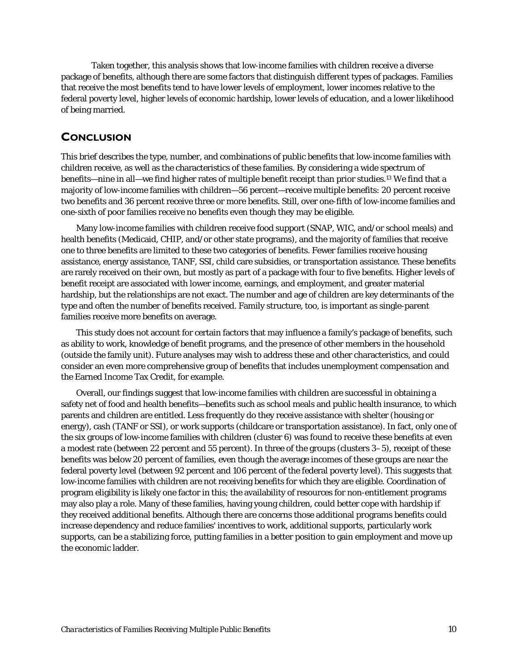Taken together, this analysis shows that low-income families with children receive a diverse package of benefits, although there are some factors that distinguish different types of packages. Families that receive the most benefits tend to have lower levels of employment, lower incomes relative to the federal poverty level, higher levels of economic hardship, lower levels of education, and a lower likelihood of being married.

### **CONCLUSION**

This brief describes the type, number, and combinations of public benefits that low-income families with children receive, as well as the characteristics of these families. By considering a wide spectrum of benefits—nine in all—we find higher rates of multiple benefit receipt than prior studies.13 We find that a majority of low-income families with children—56 percent—receive multiple benefits: 20 percent receive two benefits and 36 percent receive three or more benefits. Still, over one-fifth of low-income families and one-sixth of poor families receive no benefits even though they may be eligible.

Many low-income families with children receive food support (SNAP, WIC, and/or school meals) and health benefits (Medicaid, CHIP, and/or other state programs), and the majority of families that receive one to three benefits are limited to these two categories of benefits. Fewer families receive housing assistance, energy assistance, TANF, SSI, child care subsidies, or transportation assistance. These benefits are rarely received on their own, but mostly as part of a package with four to five benefits. Higher levels of benefit receipt are associated with lower income, earnings, and employment, and greater material hardship, but the relationships are not exact. The number and age of children are key determinants of the type and often the number of benefits received. Family structure, too, is important as single-parent families receive more benefits on average.

This study does not account for certain factors that may influence a family's package of benefits, such as ability to work, knowledge of benefit programs, and the presence of other members in the household (outside the family unit). Future analyses may wish to address these and other characteristics, and could consider an even more comprehensive group of benefits that includes unemployment compensation and the Earned Income Tax Credit, for example.

Overall, our findings suggest that low-income families with children are successful in obtaining a safety net of food and health benefits—benefits such as school meals and public health insurance, to which parents and children are entitled. Less frequently do they receive assistance with shelter (housing or energy), cash (TANF or SSI), or work supports (childcare or transportation assistance). In fact, only one of the six groups of low-income families with children (cluster 6) was found to receive these benefits at even a modest rate (between 22 percent and 55 percent). In three of the groups (clusters 3–5), receipt of these benefits was below 20 percent of families, even though the average incomes of these groups are near the federal poverty level (between 92 percent and 106 percent of the federal poverty level). This suggests that low-income families with children are not receiving benefits for which they are eligible. Coordination of program eligibility is likely one factor in this; the availability of resources for non-entitlement programs may also play a role. Many of these families, having young children, could better cope with hardship if they received additional benefits. Although there are concerns those additional programs benefits could increase dependency and reduce families' incentives to work, additional supports, particularly work supports, can be a stabilizing force, putting families in a better position to gain employment and move up the economic ladder.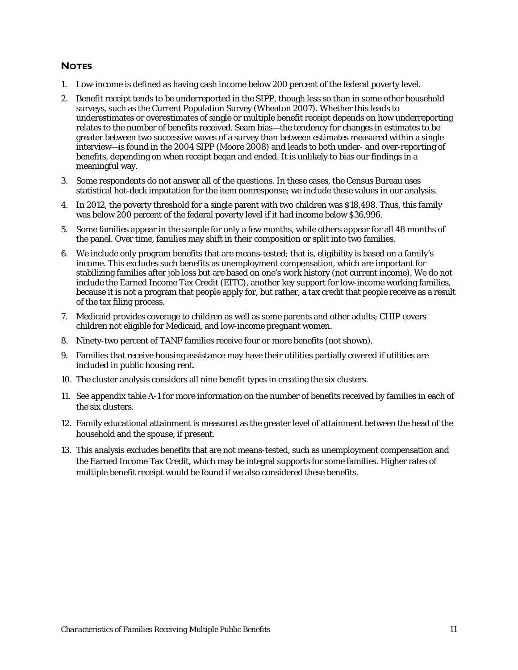### **NOTES**

- 1. Low-income is defined as having cash income below 200 percent of the federal poverty level.
- 2. Benefit receipt tends to be underreported in the SIPP, though less so than in some other household surveys, such as the Current Population Survey (Wheaton 2007). Whether this leads to underestimates or overestimates of single or multiple benefit receipt depends on how underreporting relates to the number of benefits received. Seam bias—the tendency for changes in estimates to be greater between two successive waves of a survey than between estimates measured within a single interview—is found in the 2004 SIPP (Moore 2008) and leads to both under- and over-reporting of benefits, depending on when receipt began and ended. It is unlikely to bias our findings in a meaningful way.
- 3. Some respondents do not answer all of the questions. In these cases, the Census Bureau uses statistical hot-deck imputation for the item nonresponse; we include these values in our analysis.
- 4. In 2012, the poverty threshold for a single parent with two children was \$18,498. Thus, this family was below 200 percent of the federal poverty level if it had income below \$36,996.
- 5. Some families appear in the sample for only a few months, while others appear for all 48 months of the panel. Over time, families may shift in their composition or split into two families.
- 6. We include only program benefits that are means-tested; that is, eligibility is based on a family's income. This excludes such benefits as unemployment compensation, which are important for stabilizing families after job loss but are based on one's work history (not current income). We do not include the Earned Income Tax Credit (EITC), another key support for low-income working families, because it is not a program that people apply for, but rather, a tax credit that people receive as a result of the tax filing process.
- 7. Medicaid provides coverage to children as well as some parents and other adults; CHIP covers children not eligible for Medicaid, and low-income pregnant women.
- 8. Ninety-two percent of TANF families receive four or more benefits (not shown).
- 9. Families that receive housing assistance may have their utilities partially covered if utilities are included in public housing rent.
- 10. The cluster analysis considers all nine benefit types in creating the six clusters.
- 11. See appendix table A-1 for more information on the number of benefits received by families in each of the six clusters.
- 12. Family educational attainment is measured as the greater level of attainment between the head of the household and the spouse, if present.
- 13. This analysis excludes benefits that are not means-tested, such as unemployment compensation and the Earned Income Tax Credit, which may be integral supports for some families. Higher rates of multiple benefit receipt would be found if we also considered these benefits.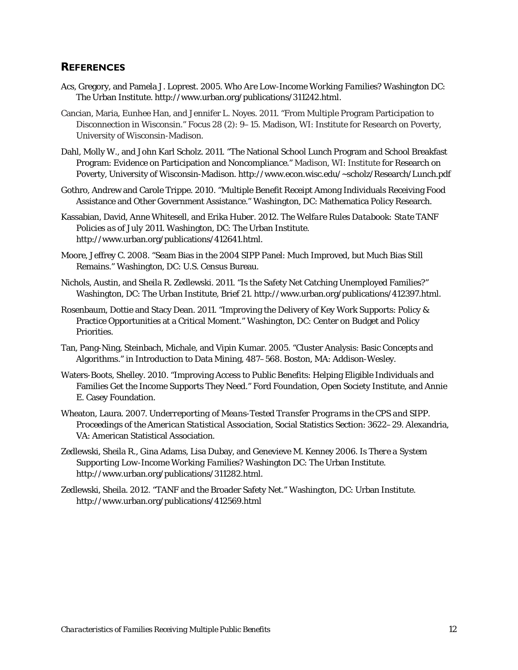### **REFERENCES**

- Acs, Gregory, and Pamela J. Loprest. 2005. *Who Are Low-Income Working Families?* Washington DC: The Urban Institute. http://www.urban.org/publications/311242.html.
- Cancian, Maria, Eunhee Han, and Jennifer L. Noyes. 2011. "From Multiple Program Participation to Disconnection in Wisconsin." *Focus* 28 (2): 9–15. Madison, WI: Institute for Research on Poverty, University of Wisconsin-Madison.
- Dahl, Molly W., and John Karl Scholz. 2011. "The National School Lunch Program and School Breakfast Program: Evidence on Participation and Noncompliance." Madison, WI: Institute for Research on Poverty, University of Wisconsin-Madison. http://www.econ.wisc.edu/~scholz/Research/Lunch.pdf
- Gothro, Andrew and Carole Trippe. 2010. "Multiple Benefit Receipt Among Individuals Receiving Food Assistance and Other Government Assistance." Washington, DC: Mathematica Policy Research.
- Kassabian, David, Anne Whitesell, and Erika Huber. 2012. *The Welfare Rules Databook: State TANF Policies as of July 2011*. Washington, DC: The Urban Institute. http://www.urban.org/publications/412641.html.
- Moore, Jeffrey C. 2008. "Seam Bias in the 2004 SIPP Panel: Much Improved, but Much Bias Still Remains." Washington, DC: U.S. Census Bureau.
- Nichols, Austin, and Sheila R. Zedlewski. 2011. "Is the Safety Net Catching Unemployed Families?" Washington, DC: The Urban Institute, Brief 21. http://www.urban.org/publications/412397.html.
- Rosenbaum, Dottie and Stacy Dean. 2011. "Improving the Delivery of Key Work Supports: Policy & Practice Opportunities at a Critical Moment." Washington, DC: Center on Budget and Policy Priorities.
- Tan, Pang-Ning, Steinbach, Michale, and Vipin Kumar. 2005. "Cluster Analysis: Basic Concepts and Algorithms." in Introduction to Data Mining, 487–568. Boston, MA: Addison-Wesley.
- Waters-Boots, Shelley. 2010. "Improving Access to Public Benefits: Helping Eligible Individuals and Families Get the Income Supports They Need." Ford Foundation, Open Society Institute, and Annie E. Casey Foundation.
- Wheaton, Laura. 2007. *Underreporting of Means-Tested Transfer Programs in the CPS and SIPP. Proceedings of the American Statistical Association*, Social Statistics Section: 3622–29. Alexandria, VA: American Statistical Association.
- Zedlewski, Sheila R., Gina Adams, Lisa Dubay, and Genevieve M. Kenney 2006. *Is There a System Supporting Low-Income Working Families?* Washington DC: The Urban Institute. http://www.urban.org/publications/311282.html.
- Zedlewski, Sheila. 2012. "TANF and the Broader Safety Net*.*" Washington, DC: Urban Institute. http://www.urban.org/publications/412569.html